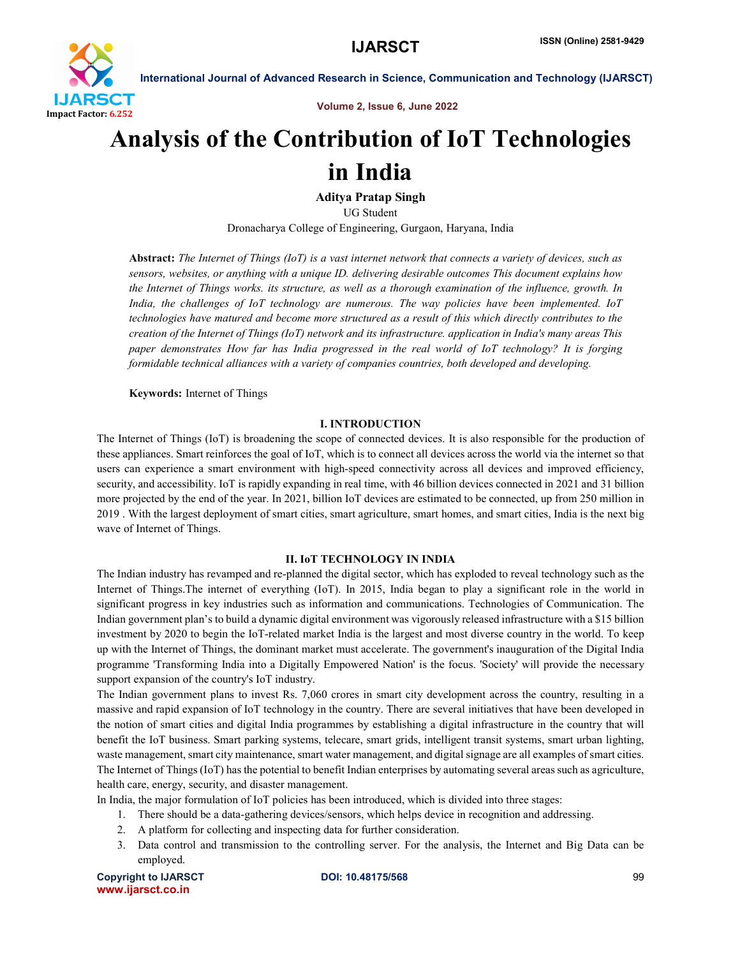

Volume 2, Issue 6, June 2022

# Analysis of the Contribution of IoT Technologies in India

Aditya Pratap Singh

UG Student

Dronacharya College of Engineering, Gurgaon, Haryana, India

Abstract: *The Internet of Things (IoT) is a vast internet network that connects a variety of devices, such as sensors, websites, or anything with a unique ID. delivering desirable outcomes This document explains how the Internet of Things works. its structure, as well as a thorough examination of the influence, growth. In India, the challenges of IoT technology are numerous. The way policies have been implemented. IoT technologies have matured and become more structured as a result of this which directly contributes to the creation of the Internet of Things (IoT) network and its infrastructure. application in India's many areas This paper demonstrates How far has India progressed in the real world of IoT technology? It is forging formidable technical alliances with a variety of companies countries, both developed and developing.*

Keywords: Internet of Things

# I. INTRODUCTION

The Internet of Things (IoT) is broadening the scope of connected devices. It is also responsible for the production of these appliances. Smart reinforces the goal of IoT, which is to connect all devices across the world via the internet so that users can experience a smart environment with high-speed connectivity across all devices and improved efficiency, security, and accessibility. IoT is rapidly expanding in real time, with 46 billion devices connected in 2021 and 31 billion more projected by the end of the year. In 2021, billion IoT devices are estimated to be connected, up from 250 million in 2019 . With the largest deployment of smart cities, smart agriculture, smart homes, and smart cities, India is the next big wave of Internet of Things.

# II. IoT TECHNOLOGY IN INDIA

The Indian industry has revamped and re-planned the digital sector, which has exploded to reveal technology such as the Internet of Things.The internet of everything (IoT). In 2015, India began to play a significant role in the world in significant progress in key industries such as information and communications. Technologies of Communication. The Indian government plan's to build a dynamic digital environment was vigorously released infrastructure with a \$15 billion investment by 2020 to begin the IoT-related market India is the largest and most diverse country in the world. To keep up with the Internet of Things, the dominant market must accelerate. The government's inauguration of the Digital India programme 'Transforming India into a Digitally Empowered Nation' is the focus. 'Society' will provide the necessary support expansion of the country's IoT industry.

The Indian government plans to invest Rs. 7,060 crores in smart city development across the country, resulting in a massive and rapid expansion of IoT technology in the country. There are several initiatives that have been developed in the notion of smart cities and digital India programmes by establishing a digital infrastructure in the country that will benefit the IoT business. Smart parking systems, telecare, smart grids, intelligent transit systems, smart urban lighting, waste management, smart city maintenance, smart water management, and digital signage are all examples of smart cities. The Internet of Things (IoT) has the potential to benefit Indian enterprises by automating several areas such as agriculture, health care, energy, security, and disaster management.

In India, the major formulation of IoT policies has been introduced, which is divided into three stages:

- 1. There should be a data-gathering devices/sensors, which helps device in recognition and addressing.
- 2. A platform for collecting and inspecting data for further consideration.
- 3. Data control and transmission to the controlling server. For the analysis, the Internet and Big Data can be employed.

Copyright to IJARSCT **DOI: 10.48175/568** 99 www.ijarsct.co.in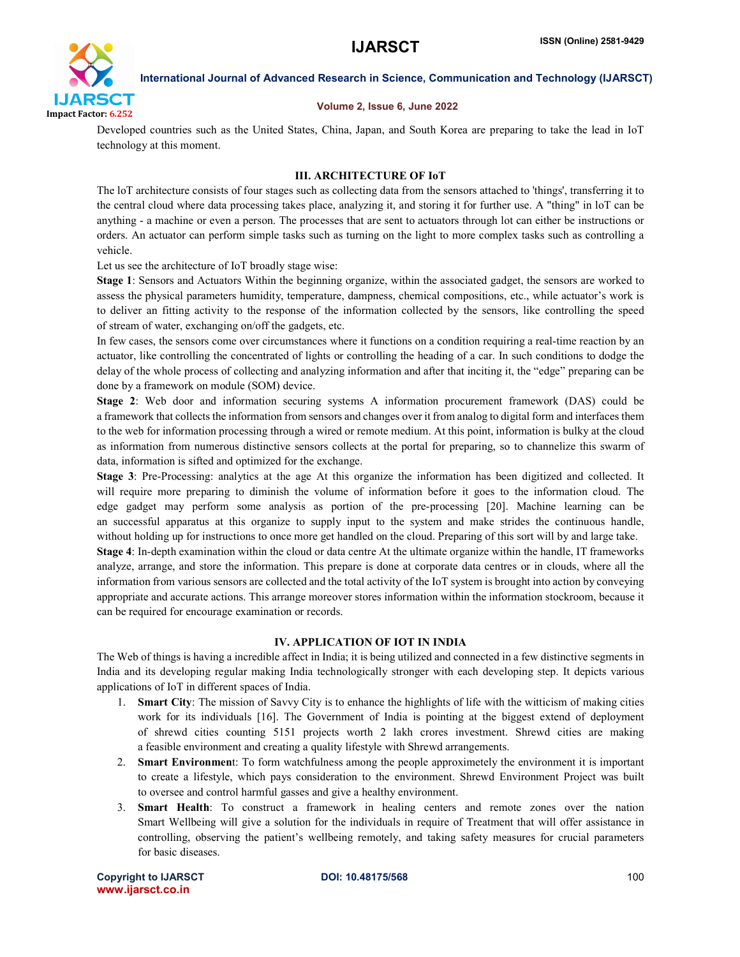

### Volume 2, Issue 6, June 2022

Developed countries such as the United States, China, Japan, and South Korea are preparing to take the lead in IoT technology at this moment.

# III. ARCHITECTURE OF IoT

The loT architecture consists of four stages such as collecting data from the sensors attached to 'things', transferring it to the central cloud where data processing takes place, analyzing it, and storing it for further use. A "thing" in loT can be anything - a machine or even a person. The processes that are sent to actuators through lot can either be instructions or orders. An actuator can perform simple tasks such as turning on the light to more complex tasks such as controlling a vehicle.

Let us see the architecture of IoT broadly stage wise:

Stage 1: Sensors and Actuators Within the beginning organize, within the associated gadget, the sensors are worked to assess the physical parameters humidity, temperature, dampness, chemical compositions, etc., while actuator's work is to deliver an fitting activity to the response of the information collected by the sensors, like controlling the speed of stream of water, exchanging on/off the gadgets, etc.

In few cases, the sensors come over circumstances where it functions on a condition requiring a real-time reaction by an actuator, like controlling the concentrated of lights or controlling the heading of a car. In such conditions to dodge the delay of the whole process of collecting and analyzing information and after that inciting it, the "edge" preparing can be done by a framework on module (SOM) device.

Stage 2: Web door and information securing systems A information procurement framework (DAS) could be a framework that collects the information from sensors and changes over it from analog to digital form and interfacesthem to the web for information processing through a wired or remote medium. At this point, information is bulky at the cloud as information from numerous distinctive sensors collects at the portal for preparing, so to channelize this swarm of data, information is sifted and optimized for the exchange.

Stage 3: Pre-Processing: analytics at the age At this organize the information has been digitized and collected. It will require more preparing to diminish the volume of information before it goes to the information cloud. The edge gadget may perform some analysis as portion of the pre-processing [20]. Machine learning can be an successful apparatus at this organize to supply input to the system and make strides the continuous handle, without holding up for instructions to once more get handled on the cloud. Preparing of this sort will by and large take. Stage 4: In-depth examination within the cloud or data centre At the ultimate organize within the handle, IT frameworks analyze, arrange, and store the information. This prepare is done at corporate data centres or in clouds, where all the

information from various sensors are collected and the total activity of the IoT system is brought into action by conveying appropriate and accurate actions. This arrange moreover stores information within the information stockroom, because it can be required for encourage examination or records.

## IV. APPLICATION OF IOT IN INDIA

The Web of things is having a incredible affect in India; it is being utilized and connected in a few distinctive segments in India and its developing regular making India technologically stronger with each developing step. It depicts various applications of IoT in different spaces of India.

- 1. Smart City: The mission of Savvy City is to enhance the highlights of life with the witticism of making cities work for its individuals [16]. The Government of India is pointing at the biggest extend of deployment of shrewd cities counting 5151 projects worth 2 lakh crores investment. Shrewd cities are making a feasible environment and creating a quality lifestyle with Shrewd arrangements.
- 2. Smart Environment: To form watchfulness among the people approximetely the environment it is important to create a lifestyle, which pays consideration to the environment. Shrewd Environment Project was built to oversee and control harmful gasses and give a healthy environment.
- 3. Smart Health: To construct a framework in healing centers and remote zones over the nation Smart Wellbeing will give a solution for the individuals in require of Treatment that will offer assistance in controlling, observing the patient's wellbeing remotely, and taking safety measures for crucial parameters for basic diseases.

Copyright to IJARSCT **DOI: 10.48175/568** 100 www.ijarsct.co.in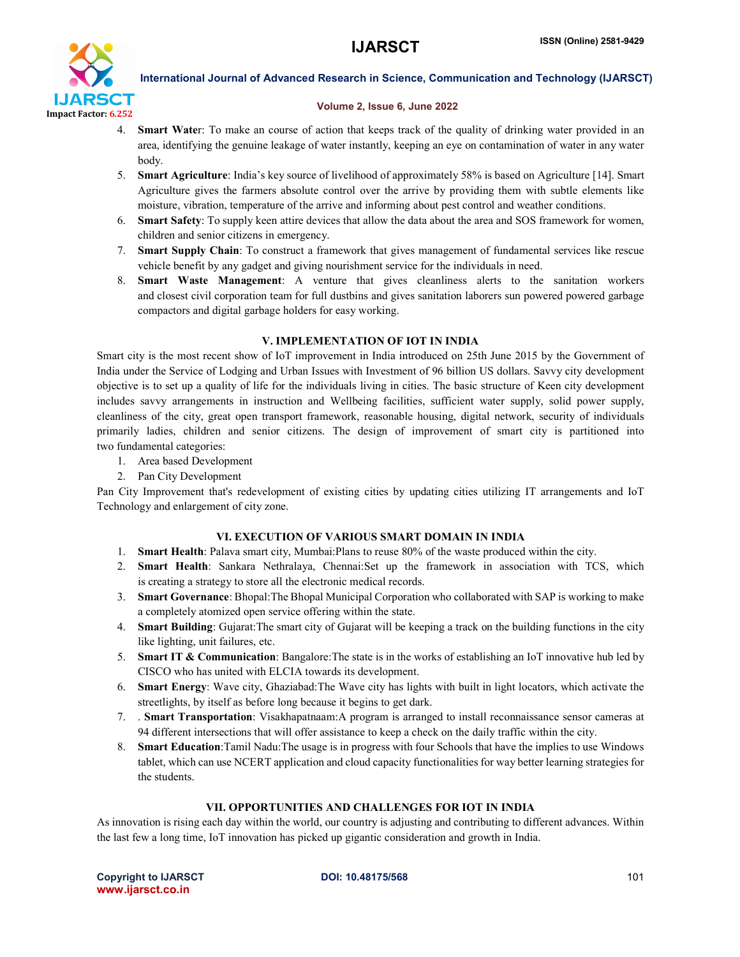

### Volume 2, Issue 6, June 2022

- 4. Smart Water: To make an course of action that keeps track of the quality of drinking water provided in an area, identifying the genuine leakage of water instantly, keeping an eye on contamination of water in any water body.
- 5. Smart Agriculture: India's key source of livelihood of approximately 58% is based on Agriculture [14]. Smart Agriculture gives the farmers absolute control over the arrive by providing them with subtle elements like moisture, vibration, temperature of the arrive and informing about pest control and weather conditions.
- 6. Smart Safety: To supply keen attire devices that allow the data about the area and SOS framework for women, children and senior citizens in emergency.
- 7. Smart Supply Chain: To construct a framework that gives management of fundamental services like rescue vehicle benefit by any gadget and giving nourishment service for the individuals in need.
- 8. Smart Waste Management: A venture that gives cleanliness alerts to the sanitation workers and closest civil corporation team for full dustbins and gives sanitation laborers sun powered powered garbage compactors and digital garbage holders for easy working.

# V. IMPLEMENTATION OF IOT IN INDIA

Smart city is the most recent show of IoT improvement in India introduced on 25th June 2015 by the Government of India under the Service of Lodging and Urban Issues with Investment of 96 billion US dollars. Savvy city development objective is to set up a quality of life for the individuals living in cities. The basic structure of Keen city development includes savvy arrangements in instruction and Wellbeing facilities, sufficient water supply, solid power supply, cleanliness of the city, great open transport framework, reasonable housing, digital network, security of individuals primarily ladies, children and senior citizens. The design of improvement of smart city is partitioned into two fundamental categories:

- 1. Area based Development
- 2. Pan City Development

Pan City Improvement that's redevelopment of existing cities by updating cities utilizing IT arrangements and IoT Technology and enlargement of city zone.

# VI. EXECUTION OF VARIOUS SMART DOMAIN IN INDIA

- 1. Smart Health: Palava smart city, Mumbai:Plans to reuse 80% of the waste produced within the city.
- 2. Smart Health: Sankara Nethralaya, Chennai:Set up the framework in association with TCS, which is creating a strategy to store all the electronic medical records.
- 3. Smart Governance: Bhopal:The Bhopal Municipal Corporation who collaborated with SAP is working to make a completely atomized open service offering within the state.
- 4. Smart Building: Gujarat:The smart city of Gujarat will be keeping a track on the building functions in the city like lighting, unit failures, etc.
- 5. Smart IT & Communication: Bangalore:The state is in the works of establishing an IoT innovative hub led by CISCO who has united with ELCIA towards its development.
- 6. Smart Energy: Wave city, Ghaziabad:The Wave city has lights with built in light locators, which activate the streetlights, by itself as before long because it begins to get dark.
- 7. . Smart Transportation: Visakhapatnaam:A program is arranged to install reconnaissance sensor cameras at 94 different intersections that will offer assistance to keep a check on the daily traffic within the city.
- 8. Smart Education:Tamil Nadu:The usage is in progress with four Schools that have the implies to use Windows tablet, which can use NCERT application and cloud capacity functionalities for way better learning strategies for the students.

# VII. OPPORTUNITIES AND CHALLENGES FOR IOT IN INDIA

As innovation is rising each day within the world, our country is adjusting and contributing to different advances. Within the last few a long time, IoT innovation has picked up gigantic consideration and growth in India.

Copyright to IJARSCT **DOI: 10.48175/568** 101 www.ijarsct.co.in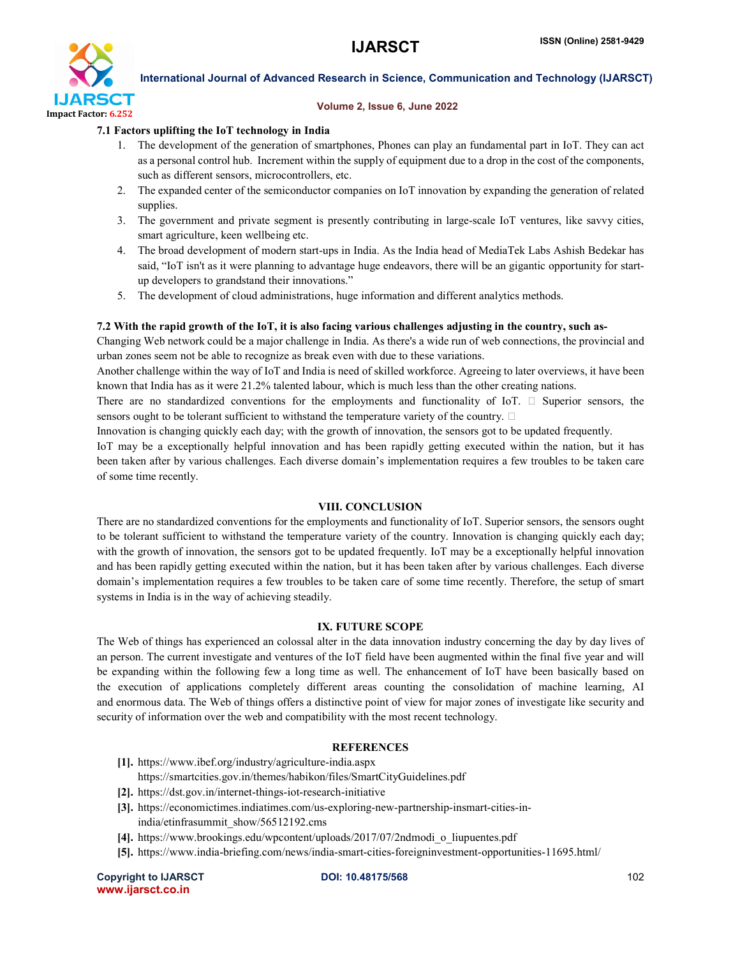

### Volume 2, Issue 6, June 2022

## 7.1 Factors uplifting the IoT technology in India

- 1. The development of the generation of smartphones, Phones can play an fundamental part in IoT. They can act as a personal control hub. Increment within the supply of equipment due to a drop in the cost of the components, such as different sensors, microcontrollers, etc.
- 2. The expanded center of the semiconductor companies on IoT innovation by expanding the generation of related supplies.
- 3. The government and private segment is presently contributing in large-scale IoT ventures, like savvy cities, smart agriculture, keen wellbeing etc.
- 4. The broad development of modern start-ups in India. As the India head of MediaTek Labs Ashish Bedekar has said, "IoT isn't as it were planning to advantage huge endeavors, there will be an gigantic opportunity for startup developers to grandstand their innovations."
- 5. The development of cloud administrations, huge information and different analytics methods.

## 7.2 With the rapid growth of the IoT, it is also facing various challenges adjusting in the country, such as-

Changing Web network could be a major challenge in India. As there's a wide run of web connections, the provincial and urban zones seem not be able to recognize as break even with due to these variations.

Another challenge within the way of IoT and India is need of skilled workforce. Agreeing to later overviews, it have been known that India has as it were 21.2% talented labour, which is much less than the other creating nations.

There are no standardized conventions for the employments and functionality of IoT.  $\Box$  Superior sensors, the sensors ought to be tolerant sufficient to withstand the temperature variety of the country.  $\Box$ 

Innovation is changing quickly each day; with the growth of innovation, the sensors got to be updated frequently.

IoT may be a exceptionally helpful innovation and has been rapidly getting executed within the nation, but it has been taken after by various challenges. Each diverse domain's implementation requires a few troubles to be taken care of some time recently.

## VIII. CONCLUSION

There are no standardized conventions for the employments and functionality of IoT. Superior sensors, the sensors ought to be tolerant sufficient to withstand the temperature variety of the country. Innovation is changing quickly each day; with the growth of innovation, the sensors got to be updated frequently. IoT may be a exceptionally helpful innovation and has been rapidly getting executed within the nation, but it has been taken after by various challenges. Each diverse domain's implementation requires a few troubles to be taken care of some time recently. Therefore, the setup of smart systems in India is in the way of achieving steadily.

# IX. FUTURE SCOPE

The Web of things has experienced an colossal alter in the data innovation industry concerning the day by day lives of an person. The current investigate and ventures of the IoT field have been augmented within the final five year and will be expanding within the following few a long time as well. The enhancement of IoT have been basically based on the execution of applications completely different areas counting the consolidation of machine learning, AI and enormous data. The Web of things offers a distinctive point of view for major zones of investigate like security and security of information over the web and compatibility with the most recent technology.

# **REFERENCES**

- [1]. https://www.ibef.org/industry/agriculture-india.aspx
	- https://smartcities.gov.in/themes/habikon/files/SmartCityGuidelines.pdf
- [2]. https://dst.gov.in/internet-things-iot-research-initiative
- [3]. https://economictimes.indiatimes.com/us-exploring-new-partnership-insmart-cities-inindia/etinfrasummit\_show/56512192.cms
- [4]. https://www.brookings.edu/wpcontent/uploads/2017/07/2ndmodi\_o\_liupuentes.pdf
- [5]. https://www.india-briefing.com/news/india-smart-cities-foreigninvestment-opportunities-11695.html/

Copyright to IJARSCT **DOI: 10.48175/568** 102 www.ijarsct.co.in